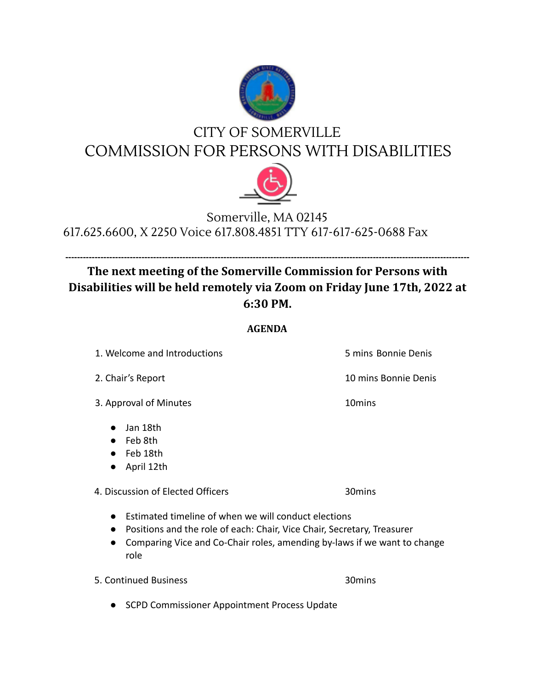

## CITY OF SOMERVILLE COMMISSION FOR PERSONS WITH DISABILITIES



## Somerville, MA 02145 617.625.6600, X 2250 Voice 617.808.4851 TTY 617-617-625-0688 Fax

## **------------------------------------------------------------------------------------------------------------------------------------------ The next meeting of the Somerville Commission for Persons with Disabilities will be held remotely via Zoom on Friday June 17th, 2022 at 6:30 PM.**

## **AGENDA**

1. Welcome and Introductions 5 mins Bonnie Denis

3. Approval of Minutes 10mins

● Jan 18th

● Feb 8th

● Feb 18th

● April 12th

4. Discussion of Elected Officers 30mins

- Estimated timeline of when we will conduct elections
- Positions and the role of each: Chair, Vice Chair, Secretary, Treasurer
- Comparing Vice and Co-Chair roles, amending by-laws if we want to change role

5. Continued Business 30mins

● SCPD Commissioner Appointment Process Update

2. Chair's Report 10 mins Bonnie Denis